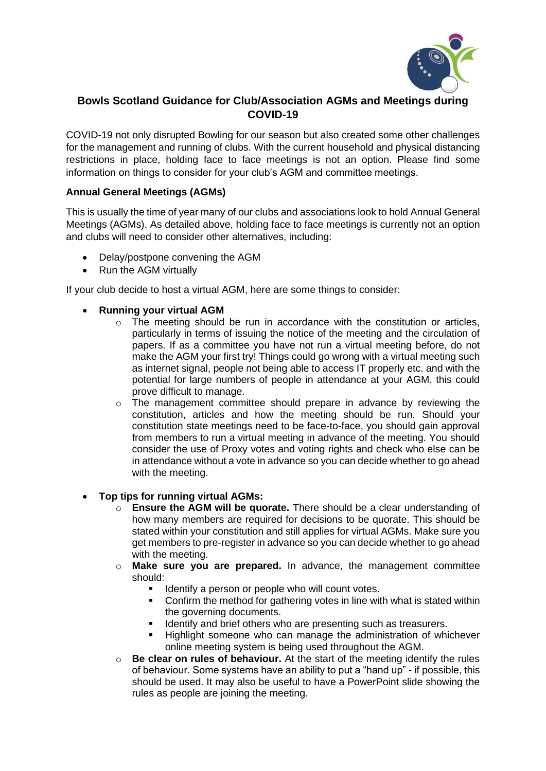

# **Bowls Scotland Guidance for Club/Association AGMs and Meetings during COVID-19**

COVID-19 not only disrupted Bowling for our season but also created some other challenges for the management and running of clubs. With the current household and physical distancing restrictions in place, holding face to face meetings is not an option. Please find some information on things to consider for your club's AGM and committee meetings.

## **Annual General Meetings (AGMs)**

This is usually the time of year many of our clubs and associations look to hold Annual General Meetings (AGMs). As detailed above, holding face to face meetings is currently not an option and clubs will need to consider other alternatives, including:

- Delay/postpone convening the AGM
- Run the AGM virtually

If your club decide to host a virtual AGM, here are some things to consider:

- **Running your virtual AGM**
	- o The meeting should be run in accordance with the constitution or articles, particularly in terms of issuing the notice of the meeting and the circulation of papers. If as a committee you have not run a virtual meeting before, do not make the AGM your first try! Things could go wrong with a virtual meeting such as internet signal, people not being able to access IT properly etc. and with the potential for large numbers of people in attendance at your AGM, this could prove difficult to manage.
	- $\circ$  The management committee should prepare in advance by reviewing the constitution, articles and how the meeting should be run. Should your constitution state meetings need to be face-to-face, you should gain approval from members to run a virtual meeting in advance of the meeting. You should consider the use of Proxy votes and voting rights and check who else can be in attendance without a vote in advance so you can decide whether to go ahead with the meeting.
- **Top tips for running virtual AGMs:**
	- o **Ensure the AGM will be quorate.** There should be a clear understanding of how many members are required for decisions to be quorate. This should be stated within your constitution and still applies for virtual AGMs. Make sure you get members to pre-register in advance so you can decide whether to go ahead with the meeting.
	- o **Make sure you are prepared.** In advance, the management committee should:
		- Identify a person or people who will count votes.
		- Confirm the method for gathering votes in line with what is stated within the governing documents.
		- **EXECT** Identify and brief others who are presenting such as treasurers.
		- Highlight someone who can manage the administration of whichever online meeting system is being used throughout the AGM.
	- o **Be clear on rules of behaviour.** At the start of the meeting identify the rules of behaviour. Some systems have an ability to put a "hand up" - if possible, this should be used. It may also be useful to have a PowerPoint slide showing the rules as people are joining the meeting.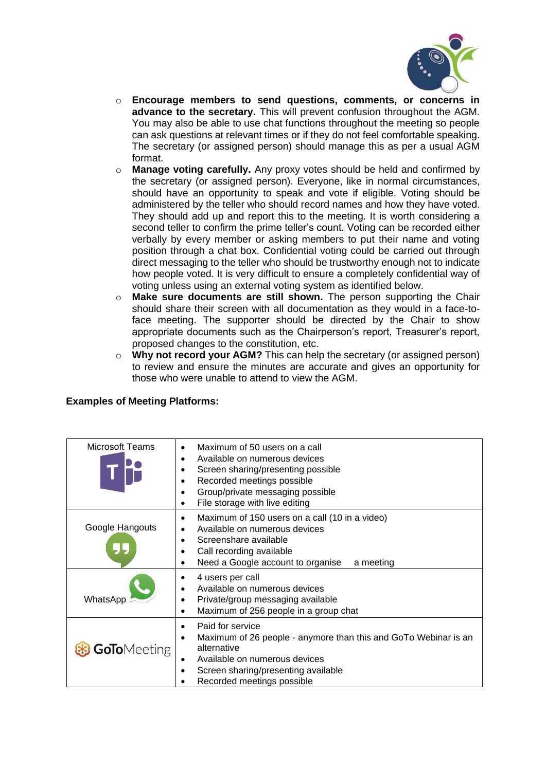

- o **Encourage members to send questions, comments, or concerns in advance to the secretary.** This will prevent confusion throughout the AGM. You may also be able to use chat functions throughout the meeting so people can ask questions at relevant times or if they do not feel comfortable speaking. The secretary (or assigned person) should manage this as per a usual AGM format.
- o **Manage voting carefully.** Any proxy votes should be held and confirmed by the secretary (or assigned person). Everyone, like in normal circumstances, should have an opportunity to speak and vote if eligible. Voting should be administered by the teller who should record names and how they have voted. They should add up and report this to the meeting. It is worth considering a second teller to confirm the prime teller's count. Voting can be recorded either verbally by every member or asking members to put their name and voting position through a chat box. Confidential voting could be carried out through direct messaging to the teller who should be trustworthy enough not to indicate how people voted. It is very difficult to ensure a completely confidential way of voting unless using an external voting system as identified below.
- o **Make sure documents are still shown.** The person supporting the Chair should share their screen with all documentation as they would in a face-toface meeting. The supporter should be directed by the Chair to show appropriate documents such as the Chairperson's report, Treasurer's report, proposed changes to the constitution, etc.
- o **Why not record your AGM?** This can help the secretary (or assigned person) to review and ensure the minutes are accurate and gives an opportunity for those who were unable to attend to view the AGM.

| Microsoft Teams     | Maximum of 50 users on a call<br>Available on numerous devices<br>٠<br>Screen sharing/presenting possible<br>Recorded meetings possible<br>Group/private messaging possible<br>File storage with live editing<br>٠ |
|---------------------|--------------------------------------------------------------------------------------------------------------------------------------------------------------------------------------------------------------------|
| Google Hangouts     | Maximum of 150 users on a call (10 in a video)<br>٠<br>Available on numerous devices<br>Screenshare available<br>$\bullet$<br>Call recording available<br>Need a Google account to organise<br>a meeting<br>٠      |
| WhatsApp            | 4 users per call<br>Available on numerous devices<br>Private/group messaging available<br>Maximum of 256 people in a group chat<br>$\bullet$                                                                       |
| <b>GoTo</b> Meeting | Paid for service<br>٠<br>Maximum of 26 people - anymore than this and GoTo Webinar is an<br>alternative<br>Available on numerous devices<br>Screen sharing/presenting available<br>Recorded meetings possible      |

# **Examples of Meeting Platforms:**